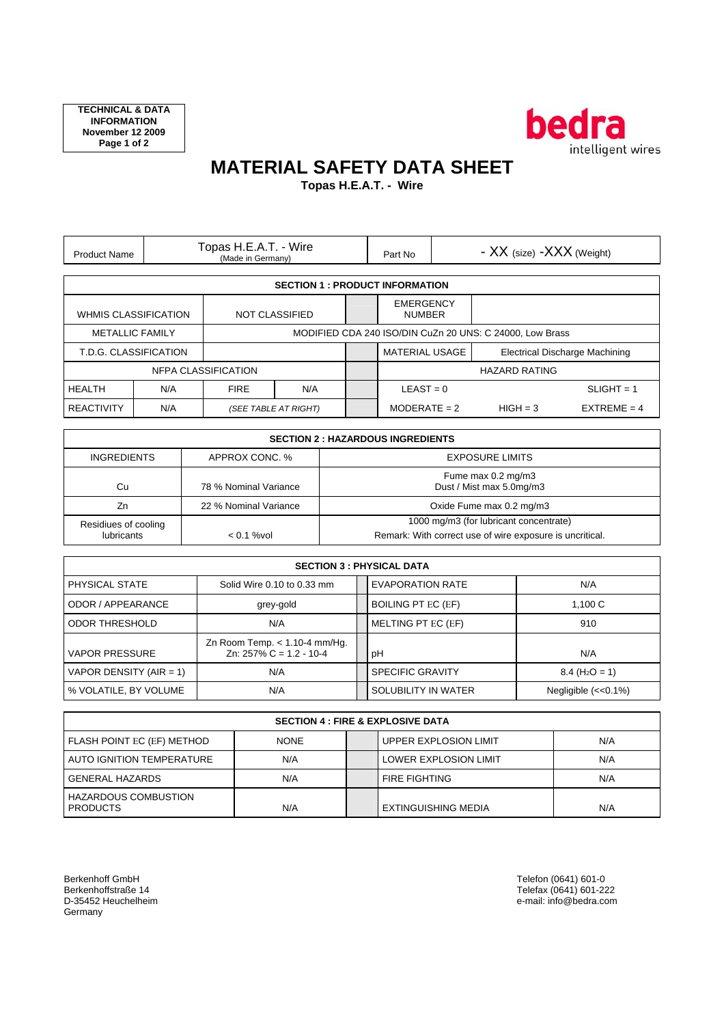

## **MATERIAL SAFETY DATA SHEET**

**Topas H.E.A.T. - Wire** 

| <b>Product Name</b>                                  |     | Topas H.E.A.T. - Wire<br>(Made in Germany) |                      |                                                          | Part No                                                 | - $XX$ (size) - $XXX$ (Weight) |            |               |
|------------------------------------------------------|-----|--------------------------------------------|----------------------|----------------------------------------------------------|---------------------------------------------------------|--------------------------------|------------|---------------|
| <b>SECTION 1 : PRODUCT INFORMATION</b>               |     |                                            |                      |                                                          |                                                         |                                |            |               |
| <b>WHMIS CLASSIFICATION</b><br><b>NOT CLASSIFIED</b> |     |                                            |                      | <b>EMERGENCY</b><br><b>NUMBER</b>                        |                                                         |                                |            |               |
| <b>METALLIC FAMILY</b>                               |     |                                            |                      | MODIFIED CDA 240 ISO/DIN CuZn 20 UNS: C 24000, Low Brass |                                                         |                                |            |               |
| T.D.G. CLASSIFICATION                                |     |                                            |                      |                                                          | <b>MATERIAL USAGE</b><br>Electrical Discharge Machining |                                |            |               |
| NFPA CLASSIFICATION                                  |     |                                            |                      | <b>HAZARD RATING</b>                                     |                                                         |                                |            |               |
| <b>HEALTH</b>                                        | N/A | <b>FIRE</b>                                | N/A                  |                                                          | $LEAST = 0$                                             |                                |            | $SLIGHT = 1$  |
| <b>REACTIVITY</b>                                    | N/A |                                            | (SEE TABLE AT RIGHT) |                                                          | $MODERATE = 2$                                          |                                | $HIGH = 3$ | $EXTREME = 4$ |

| <b>SECTION 2 : HAZARDOUS INGREDIENTS</b>  |                       |                                                                                                    |  |  |  |
|-------------------------------------------|-----------------------|----------------------------------------------------------------------------------------------------|--|--|--|
| <b>INGREDIENTS</b>                        | APPROX CONC. %        | <b>EXPOSURE LIMITS</b>                                                                             |  |  |  |
| Cu                                        | 78 % Nominal Variance | Fume max 0.2 mg/m3<br>Dust / Mist max 5.0mg/m3                                                     |  |  |  |
| Zn                                        | 22 % Nominal Variance | Oxide Fume max 0.2 mg/m3                                                                           |  |  |  |
| Residiues of cooling<br><b>lubricants</b> | $< 0.1$ % vol         | 1000 mg/m3 (for lubricant concentrate)<br>Remark: With correct use of wire exposure is uncritical. |  |  |  |

| <b>SECTION 3 : PHYSICAL DATA</b> |                                                                 |  |                           |                                   |  |  |
|----------------------------------|-----------------------------------------------------------------|--|---------------------------|-----------------------------------|--|--|
| PHYSICAL STATE                   | Solid Wire 0.10 to 0.33 mm                                      |  | <b>EVAPORATION RATE</b>   | N/A                               |  |  |
| ODOR / APPEARANCE                | grey-gold                                                       |  | <b>BOILING PT EC (EF)</b> | 1.100C                            |  |  |
| <b>ODOR THRESHOLD</b>            | N/A                                                             |  | MELTING PT EC (EF)        | 910                               |  |  |
| <b>VAPOR PRESSURE</b>            | Zn Room Temp. $< 1.10 - 4$ mm/Hg.<br>Zn: $257\%$ C = 1.2 - 10-4 |  | pH                        | N/A                               |  |  |
| VAPOR DENSITY (AIR = 1)          | N/A                                                             |  | <b>SPECIFIC GRAVITY</b>   | $8.4$ (H <sub>2</sub> O = 1)      |  |  |
| % VOLATILE, BY VOLUME            | N/A                                                             |  | SOLUBILITY IN WATER       | Negligible $\left(<0.1\% \right)$ |  |  |

| <b>SECTION 4 : FIRE &amp; EXPLOSIVE DATA</b>   |             |  |                              |     |  |
|------------------------------------------------|-------------|--|------------------------------|-----|--|
| <b>FLASH POINT EC (EF) METHOD</b>              | <b>NONE</b> |  | UPPER EXPLOSION LIMIT        | N/A |  |
| <b>AUTO IGNITION TEMPERATURE</b>               | N/A         |  | <b>LOWER EXPLOSION LIMIT</b> | N/A |  |
| <b>GENERAL HAZARDS</b>                         | N/A         |  | <b>FIRE FIGHTING</b>         | N/A |  |
| <b>HAZARDOUS COMBUSTION</b><br><b>PRODUCTS</b> | N/A         |  | EXTINGUISHING MEDIA          | N/A |  |

Berkenhoff GmbH Telefon (0641) 601-0 Denemion Gribri<br>Berkenhoffstraße 14<br>D-35452 Heuchelheim e-mail: info@bedra.com<br>P-35452 Heuchelheim e-mail: info@bedra.com Germany

Berkenhoffstraße 14 Telefax (0641) 601-222